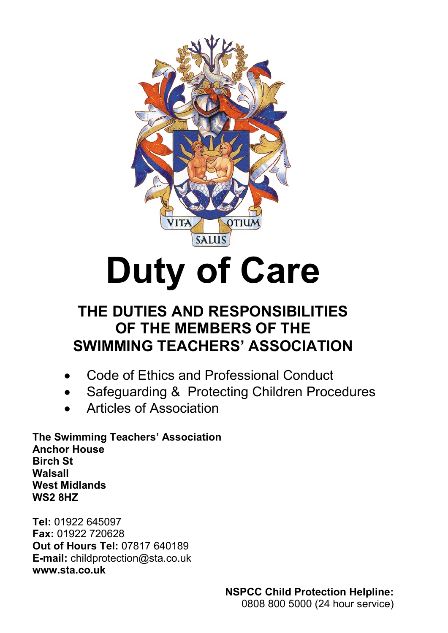

# **Duty of Care**

# **THE DUTIES AND RESPONSIBILITIES OF THE MEMBERS OF THE SWIMMING TEACHERS' ASSOCIATION**

- Code of Ethics and Professional Conduct
- Safeguarding & Protecting Children Procedures
- Articles of Association

**The Swimming Teachers' Association Anchor House Birch St Walsall West Midlands WS2 8HZ**

**Tel:** 01922 645097 **Fax:** 01922 720628 **Out of Hours Tel:** 07817 640189 **E-mail:** childprotection@sta.co.uk **[www.sta.co.uk](http://www.sta.co.uk/)**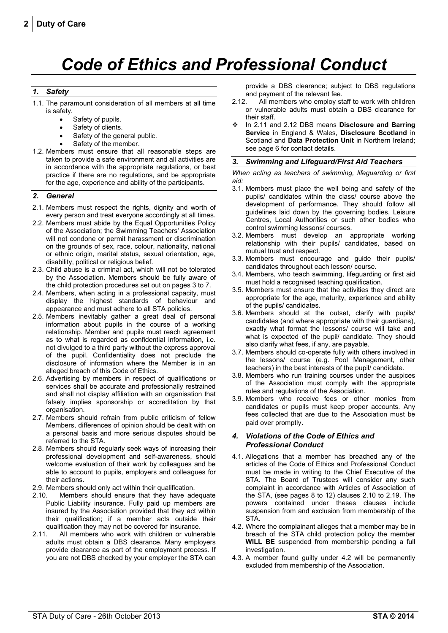# *Code of Ethics and Professional Conduct*

#### *1. Safety*

- 1.1. The paramount consideration of all members at all time is safety.
	- Safety of pupils.
	- Safety of clients.
	- Safety of the general public.
	- Safety of the member.
- 1.2. Members must ensure that all reasonable steps are taken to provide a safe environment and all activities are in accordance with the appropriate regulations, or best practice if there are no regulations, and be appropriate for the age, experience and ability of the participants.

#### *2. General*

- 2.1. Members must respect the rights, dignity and worth of every person and treat everyone accordingly at all times.
- 2.2. Members must abide by the Equal Opportunities Policy of the Association; the Swimming Teachers' Association will not condone or permit harassment or discrimination on the grounds of sex, race, colour, nationality, national or ethnic origin, marital status, sexual orientation, age, disability, political or religious belief.
- 2.3. Child abuse is a criminal act, which will not be tolerated by the Association. Members should be fully aware of the child protection procedures set out on pages 3 to 7.
- 2.4. Members, when acting in a professional capacity, must display the highest standards of behaviour and appearance and must adhere to all STA policies.
- 2.5. Members inevitably gather a great deal of personal information about pupils in the course of a working relationship. Member and pupils must reach agreement as to what is regarded as confidential information, i.e. not divulged to a third party without the express approval of the pupil. Confidentiality does not preclude the disclosure of information where the Member is in an alleged breach of this Code of Ethics.
- 2.6. Advertising by members in respect of qualifications or services shall be accurate and professionally restrained and shall not display affiliation with an organisation that falsely implies sponsorship or accreditation by that organisation.
- 2.7. Members should refrain from public criticism of fellow Members, differences of opinion should be dealt with on a personal basis and more serious disputes should be referred to the STA.
- 2.8. Members should regularly seek ways of increasing their professional development and self-awareness, should welcome evaluation of their work by colleagues and be able to account to pupils, employers and colleagues for their actions.
- 2.9. Members should only act within their qualification.
- 2.10. Members should ensure that they have adequate Public Liability insurance. Fully paid up members are insured by the Association provided that they act within their qualification; if a member acts outside their qualification they may not be covered for insurance.
- 2.11. All members who work with children or vulnerable adults must obtain a DBS clearance. Many employers provide clearance as part of the employment process. If you are not DBS checked by your employer the STA can

provide a DBS clearance; subject to DBS regulations and payment of the relevant fee.

- 2.12. All members who employ staff to work with children or vulnerable adults must obtain a DBS clearance for their staff.
- In 2.11 and 2.12 DBS means **Disclosure and Barring Service** in England & Wales, **Disclosure Scotland** in Scotland and **Data Protection Unit** in Northern Ireland; see page 6 for contact details.

#### *3. Swimming and Lifeguard/First Aid Teachers*

*When acting as teachers of swimming, lifeguarding or first aid:*

- 3.1. Members must place the well being and safety of the pupils/ candidates within the class/ course above the development of performance. They should follow all guidelines laid down by the governing bodies, Leisure Centres, Local Authorities or such other bodies who control swimming lessons/ courses.
- 3.2. Members must develop an appropriate working relationship with their pupils/ candidates, based on mutual trust and respect.
- 3.3. Members must encourage and guide their pupils/ candidates throughout each lesson/ course.
- 3.4. Members, who teach swimming, lifeguarding or first aid must hold a recognised teaching qualification.
- 3.5. Members must ensure that the activities they direct are appropriate for the age, maturity, experience and ability of the pupils/ candidates.
- 3.6. Members should at the outset, clarify with pupils/ candidates (and where appropriate with their guardians), exactly what format the lessons/ course will take and what is expected of the pupil/ candidate. They should also clarify what fees, if any, are payable.
- 3.7. Members should co-operate fully with others involved in the lessons/ course (e.g. Pool Management, other teachers) in the best interests of the pupil/ candidate.
- 3.8. Members who run training courses under the auspices of the Association must comply with the appropriate rules and regulations of the Association.
- 3.9. Members who receive fees or other monies from candidates or pupils must keep proper accounts. Any fees collected that are due to the Association must be paid over promptly.

#### *4. Violations of the Code of Ethics and Professional Conduct*

- 4.1. Allegations that a member has breached any of the articles of the Code of Ethics and Professional Conduct must be made in writing to the Chief Executive of the STA. The Board of Trustees will consider any such complaint in accordance with Articles of Association of the STA, (see pages 8 to 12) clauses 2.10 to 2.19. The powers contained under theses clauses include suspension from and exclusion from membership of the STA.
- 4.2. Where the complainant alleges that a member may be in breach of the STA child protection policy the member **WILL BE** suspended from membership pending a full investigation.
- 4.3. A member found guilty under 4.2 will be permanently excluded from membership of the Association.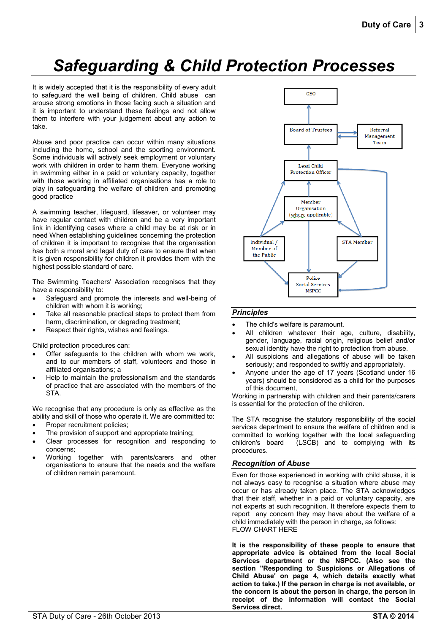# *Safeguarding & Child Protection Processes*

It is widely accepted that it is the responsibility of every adult to safeguard the well being of children. Child abuse can arouse strong emotions in those facing such a situation and it is important to understand these feelings and not allow them to interfere with your judgement about any action to take.

Abuse and poor practice can occur within many situations including the home, school and the sporting environment. Some individuals will actively seek employment or voluntary work with children in order to harm them. Everyone working in swimming either in a paid or voluntary capacity, together with those working in affiliated organisations has a role to play in safeguarding the welfare of children and promoting good practice

A swimming teacher, lifeguard, lifesaver, or volunteer may have regular contact with children and be a very important link in identifying cases where a child may be at risk or in need When establishing guidelines concerning the protection of children it is important to recognise that the organisation has both a moral and legal duty of care to ensure that when it is given responsibility for children it provides them with the highest possible standard of care.

The Swimming Teachers' Association recognises that they have a responsibility to:

- Safeguard and promote the interests and well-being of children with whom it is working;
- Take all reasonable practical steps to protect them from harm, discrimination, or degrading treatment;
- Respect their rights, wishes and feelings.

Child protection procedures can:

- Offer safeguards to the children with whom we work, and to our members of staff, volunteers and those in affiliated organisations; a
- Help to maintain the professionalism and the standards of practice that are associated with the members of the STA.

We recognise that any procedure is only as effective as the ability and skill of those who operate it. We are committed to:

- Proper recruitment policies;
- The provision of support and appropriate training;
- Clear processes for recognition and responding to concerns;
- Working together with parents/carers and other organisations to ensure that the needs and the welfare of children remain paramount.



#### *Principles*

- The child's welfare is paramount.
- All children whatever their age, culture, disability, gender, language, racial origin, religious belief and/or sexual identity have the right to protection from abuse.
- All suspicions and allegations of abuse will be taken seriously; and responded to swiftly and appropriately.
- Anyone under the age of 17 years (Scotland under 16 years) should be considered as a child for the purposes of this document,

Working in partnership with children and their parents/carers is essential for the protection of the children.

The STA recognise the statutory responsibility of the social services department to ensure the welfare of children and is committed to working together with the local safeguarding children's board (LSCB) and to complying with its procedures.

#### <span id="page-2-0"></span>*Recognition of Abuse*

Even for those experienced in working with child abuse, it is not always easy to recognise a situation where abuse may occur or has already taken place. The STA acknowledges that their staff, whether in a paid or voluntary capacity, are not experts at such recognition. It therefore expects them to report any concern they may have about the welfare of a child immediately with the person in charge, as follows: FLOW CHART HERE

**It is the responsibility of these people to ensure that appropriate advice is obtained from the local Social Services department or the NSPCC. (Also see the section "Responding to Suspicions or Allegations of Child Abuse' on page [4,](#page-3-0) which details exactly what action to take.) If the person in charge is not available, or the concern is about the person in charge, the person in receipt of the information will contact the Social Services direct.**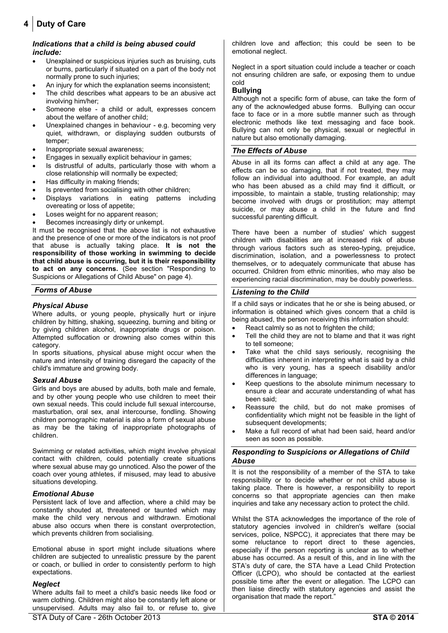# **4 Duty of Care**

#### *Indications that a child is being abused could include:*

- Unexplained or suspicious injuries such as bruising, cuts or burns, particularly if situated on a part of the body not normally prone to such injuries;
- An injury for which the explanation seems inconsistent;
- The child describes what appears to be an abusive act involving him/her;
- Someone else a child or adult, expresses concern about the welfare of another child;
- Unexplained changes in behaviour e.g. becoming very quiet, withdrawn, or displaying sudden outbursts of temper;
- Inappropriate sexual awareness;
- Engages in sexually explicit behaviour in games;
- Is distrustful of adults, particularly those with whom a close relationship will normally be expected;
- Has difficulty in making friends;
- Is prevented from socialising with other children;
- Displays variations in eating patterns including overeating or loss of appetite;
- Loses weight for no apparent reason;
- Becomes increasingly dirty or unkempt.

It must be recognised that the above list is not exhaustive and the presence of one or more of the indicators is not proof that abuse is actually taking place. **It is not the responsibility of those working in swimming to decide that child abuse is occurring, but it is their responsibility to act on any concerns.** (See section "Responding to Suspicions or Allegations of Child Abuse" on page [4\)](#page-3-0).

#### *Forms of Abuse*

### *Physical Abuse*

Where adults, or young people, physically hurt or injure children by hitting, shaking, squeezing, burning and biting or by giving children alcohol, inappropriate drugs or poison. Attempted suffocation or drowning also comes within this category.

In sports situations, physical abuse might occur when the nature and intensity of training disregard the capacity of the child's immature and growing body.

#### *Sexual Abuse*

Girls and boys are abused by adults, both male and female, and by other young people who use children to meet their own sexual needs. This could include full sexual intercourse, masturbation, oral sex, anal intercourse, fondling. Showing children pornographic material is also a form of sexual abuse as may be the taking of inappropriate photographs of children.

Swimming or related activities, which might involve physical contact with children, could potentially create situations where sexual abuse may go unnoticed. Also the power of the coach over young athletes, if misused, may lead to abusive situations developing.

#### *Emotional Abuse*

Persistent lack of love and affection, where a child may be constantly shouted at, threatened or taunted which may make the child very nervous and withdrawn. Emotional abuse also occurs when there is constant overprotection, which prevents children from socialising.

Emotional abuse in sport might include situations where children are subjected to unrealistic pressure by the parent or coach, or bullied in order to consistently perform to high expectations.

#### *Neglect*

Where adults fail to meet a child's basic needs like food or warm clothing. Children might also be constantly left alone or unsupervised. Adults may also fail to, or refuse to, give children love and affection; this could be seen to be emotional neglect.

Neglect in a sport situation could include a teacher or coach not ensuring children are safe, or exposing them to undue cold

#### **Bullying**

Although not a specific form of abuse, can take the form of any of the acknowledged abuse forms. Bullying can occur face to face or in a more subtle manner such as through electronic methods like text messaging and face book. Bullying can not only be physical, sexual or neglectful in nature but also emotionally damaging.

#### *The Effects of Abuse*

Abuse in all its forms can affect a child at any age. The effects can be so damaging, that if not treated, they may follow an individual into adulthood. For example, an adult who has been abused as a child may find it difficult, or impossible, to maintain a stable, trusting relationship; may become involved with drugs or prostitution; may attempt suicide, or may abuse a child in the future and find successful parenting difficult.

There have been a number of studies' which suggest children with disabilities are at increased risk of abuse through various factors such as stereo-typing, prejudice, discrimination, isolation, and a powerlessness to protect themselves, or to adequately communicate that abuse has occurred. Children from ethnic minorities, who may also be experiencing racial discrimination, may be doubly powerless.

#### *Listening to the Child*

If a child says or indicates that he or she is being abused, or information is obtained which gives concern that a child is being abused, the person receiving this information should:

- React calmly so as not to frighten the child;
- Tell the child they are not to blame and that it was right to tell someone;
- Take what the child says seriously, recognising the difficulties inherent in interpreting what is said by a child who is very young, has a speech disability and/or differences in language;
- Keep questions to the absolute minimum necessary to ensure a clear and accurate understanding of what has been said;
- Reassure the child, but do not make promises of confidentiality which might not be feasible in the light of subsequent developments;
- Make a full record of what had been said, heard and/or seen as soon as possible.

#### <span id="page-3-0"></span>*Responding to Suspicions or Allegations of Child Abuse*

It is not the responsibility of a member of the STA to take responsibility or to decide whether or not child abuse is taking place. There is however, a responsibility to report concerns so that appropriate agencies can then make inquiries and take any necessary action to protect the child.

Whilst the STA acknowledges the importance of the role of statutory agencies involved in children's welfare (social services, police, NSPCC), it appreciates that there may be some reluctance to report direct to these agencies, especially if the person reporting is unclear as to whether abuse has occurred. As a result of this, and in line with the STA's duty of care, the STA have a Lead Child Protection Officer (LCPO), who should be contacted at the earliest possible time after the event or allegation. The LCPO can then liaise directly with statutory agencies and assist the organisation that made the report."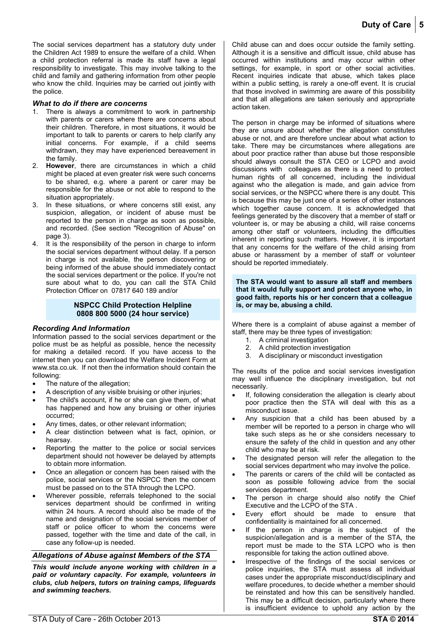The social services department has a statutory duty under the Children Act 1989 to ensure the welfare of a child. When a child protection referral is made its staff have a legal responsibility to investigate. This may involve talking to the child and family and gathering information from other people who know the child. Inquiries may be carried out jointly with the police.

#### *What to do if there are concerns*

- 1. There is always a commitment to work in partnership with parents or carers where there are concerns about their children. Therefore, in most situations, it would be important to talk to parents or carers to help clarify any initial concerns. For example, if a child seems withdrawn, they may have experienced bereavement in the family.
- 2. **However**, there are circumstances in which a child might be placed at even greater risk were such concerns to be shared, e.g. where a parent or carer may be responsible for the abuse or not able to respond to the situation appropriately.
- 3. In these situations, or where concerns still exist, any suspicion, allegation, or incident of abuse must be reported to the person in charge as soon as possible, and recorded. (See section "Recognition of Abuse" on pag[e 3\)](#page-2-0).
- 4. It is the responsibility of the person in charge to inform the social services department without delay. If a person in charge is not available, the person discovering or being informed of the abuse should immediately contact the social services department or the police. If you're not sure about what to do, you can call the STA Child Protection Officer on 07817 640 189 and/or

#### **NSPCC Child Protection Helpline 0808 800 5000 (24 hour service)**

#### *Recording And Information*

Information passed to the social services department or the police must be as helpful as possible, hence the necessity for making a detailed record. If you have access to the internet then you can download the Welfare Incident Form at www.sta.co.uk. If not then the information should contain the following:

- The nature of the allegation;
- A description of any visible bruising or other injuries;
- The child's account, if he or she can give them, of what has happened and how any bruising or other injuries occurred;
- Any times, dates, or other relevant information;
- A clear distinction between what is fact, opinion, or hearsay.
- Reporting the matter to the police or social services department should not however be delayed by attempts to obtain more information.
- Once an allegation or concern has been raised with the police, social services or the NSPCC then the concern must be passed on to the STA through the LCPO.
- Wherever possible, referrals telephoned to the social services department should be confirmed in writing within 24 hours. A record should also be made of the name and designation of the social services member of staff or police officer to whom the concerns were passed, together with the time and date of the call, in case any follow-up is needed.

#### *Allegations of Abuse against Members of the STA*

*This would include anyone working with children in a paid or voluntary capacity. For example, volunteers in clubs, club helpers, tutors on training camps, lifeguards and swimming teachers.*

Child abuse can and does occur outside the family setting. Although it is a sensitive and difficult issue, child abuse has occurred within institutions and may occur within other settings, for example, in sport or other social activities. Recent inquiries indicate that abuse, which takes place within a public setting, is rarely a one-off event. It is crucial that those involved in swimming are aware of this possibility and that all allegations are taken seriously and appropriate action taken.

The person in charge may be informed of situations where they are unsure about whether the allegation constitutes abuse or not, and are therefore unclear about what action to take. There may be circumstances where allegations are about poor practice rather than abuse but those responsible should always consult the STA CEO or LCPO and avoid discussions with colleagues as there is a need to protect human rights of all concerned, including the individual against who the allegation is made, and gain advice from social services, or the NSPCC where there is any doubt. This is because this may be just one of a series of other instances which together cause concern. It is acknowledged that feelings generated by the discovery that a member of staff or volunteer is, or may be abusing a child, will raise concerns among other staff or volunteers, including the difficulties inherent in reporting such matters. However, it is important that any concerns for the welfare of the child arising from abuse or harassment by a member of staff or volunteer should be reported immediately.

#### **The STA would want to assure all staff and members that it would fully support and protect anyone who, in good faith, reports his or her concern that a colleague is, or may be, abusing a child.**

Where there is a complaint of abuse against a member of staff, there may be three types of investigation:

- 1. A criminal investigation
- 2. A child protection investigation
- 3. A disciplinary or misconduct investigation

The results of the police and social services investigation may well influence the disciplinary investigation, but not necessarily.

- If, following consideration the allegation is clearly about poor practice then the STA will deal with this as a misconduct issue.
- Any suspicion that a child has been abused by a member will be reported to a person in charge who will take such steps as he or she considers necessary to ensure the safety of the child in question and any other child who may be at risk.
- The designated person will refer the allegation to the social services department who may involve the police.
- The parents or carers of the child will be contacted as soon as possible following advice from the social services department.
- The person in charge should also notify the Chief Executive and the LCPO of the STA .
- Every effort should be made to ensure that confidentiality is maintained for all concerned.
- If the person in charge is the subject of the suspicion/allegation and is a member of the STA, the report must be made to the STA LCPO who is then responsible for taking the action outlined above.
- Irrespective of the findings of the social services or police inquiries, the STA must assess all individual cases under the appropriate misconduct/disciplinary and welfare procedures, to decide whether a member should be reinstated and how this can be sensitively handled. This may be a difficult decision, particularly where there is insufficient evidence to uphold any action by the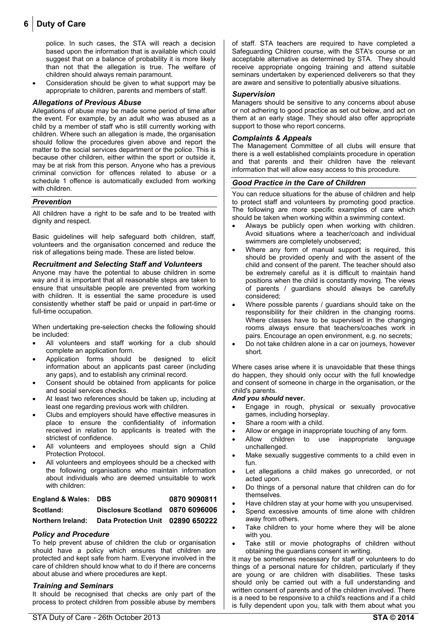## **6 Duty of Care**

police. In such cases, the STA will reach a decision based upon the information that is available which could suggest that on a balance of probability it is more likely than not that the allegation is true. The welfare of children should always remain paramount.

 Consideration should be given to what support may be appropriate to children, parents and members of staff.

#### *Allegations of Previous Abuse*

Allegations of abuse may be made some period of time after the event. For example, by an adult who was abused as a child by a member of staff who is still currently working with children. Where such an allegation is made, the organisation should follow the procedures given above and report the matter to the social services department or the police. This is because other children, either within the sport or outside it, may be at risk from this person. Anyone who has a previous criminal conviction for offences related to abuse or a schedule 1 offence is automatically excluded from working with children.

#### *Prevention*

All children have a right to be safe and to be treated with dignity and respect.

Basic guidelines will help safeguard both children, staff, volunteers and the organisation concerned and reduce the risk of allegations being made. These are listed below.

#### *Recruitment and Selecting Staff and Volunteers*

Anyone may have the potential to abuse children in some way and it is important that all reasonable steps are taken to ensure that unsuitable people are prevented from working with children. It is essential the same procedure is used consistently whether staff be paid or unpaid in part-time or full-time occupation.

When undertaking pre-selection checks the following should be included:

- All volunteers and staff working for a club should complete an application form.
- Application forms should be designed to elicit information about an applicants past career (including any gaps), and to establish any criminal record.
- Consent should be obtained from applicants for police and social services checks.
- At least two references should be taken up, including at least one regarding previous work with children.
- Clubs and employers should have effective measures in place to ensure the confidentiality of information received in relation to applicants is treated with the strictest of confidence.
- All volunteers and employees should sign a Child Protection Protocol.
- All volunteers and employees should be a checked with the following organisations who maintain information about individuals who are deemed unsuitable to work with children:

| <b>England &amp; Wales: DBS</b> |                                   | 0870 9090811 |
|---------------------------------|-----------------------------------|--------------|
| Scotland:                       | Disclosure Scotland 0870 6096006  |              |
| Northern Ireland:               | Data Protection Unit 02890 650222 |              |

#### *Policy and Procedure*

To help prevent abuse of children the club or organisation should have a policy which ensures that children are protected and kept safe from harm. Everyone involved in the care of children should know what to do if there are concerns about abuse and where procedures are kept.

#### *Training and Seminars*

It should be recognised that checks are only part of the process to protect children from possible abuse by members of staff. STA teachers are required to have completed a Safeguarding Children course, with the STA's course or an acceptable alternative as determined by STA. They should receive appropriate ongoing training and attend suitable seminars undertaken by experienced deliverers so that they are aware and sensitive to potentially abusive situations.

#### *Supervision*

Managers should be sensitive to any concerns about abuse or not adhering to good practice as set out below, and act on them at an early stage. They should also offer appropriate support to those who report concerns.

#### *Complaints & Appeals*

The Management Committee of all clubs will ensure that there is a well established complaints procedure in operation and that parents and their children have the relevant information that will allow easy access to this procedure.

#### *Good Practice in the Care of Children*

You can reduce situations for the abuse of children and help to protect staff and volunteers by promoting good practice. The following are more specific examples of care which should be taken when working within a swimming context.

- Always be publicly open when working with children. Avoid situations where a teacher/coach and individual swimmers are completely unobserved;
- Where any form of manual support is required, this should be provided openly and with the assent of the child and consent of the parent. The teacher should also be extremely careful as it is difficult to maintain hand positions when the child is constantly moving. The views of parents / guardians should always be carefully considered;
- Where possible parents / guardians should take on the responsibility for their children in the changing rooms. Where classes have to be supervised in the changing rooms always ensure that teachers/coaches work in pairs. Encourage an open environment, e.g. no secrets;
- Do not take children alone in a car on journeys, however short.

Where cases arise where it is unavoidable that these things do happen, they should only occur with the full knowledge and consent of someone in charge in the organisation, or the child's parents.

#### *And you should* **never.**

- Engage in rough, physical or sexually provocative games, including horseplay.
- Share a room with a child.
- Allow or engage in inappropriate touching of any form.
- Allow children to use inappropriate language unchallenged.
- Make sexually suggestive comments to a child even in fun.
- Let allegations a child makes go unrecorded, or not acted upon.
- Do things of a personal nature that children can do for themselves.
- Have children stay at your home with you unsupervised.
- Spend excessive amounts of time alone with children away from others.
- Take children to your home where they will be alone with you.
- Take still or movie photographs of children without obtaining the guardians consent in writing.

It may be sometimes necessary for staff or volunteers to do things of a personal nature for children, particularly if they are young or are children with disabilities. These tasks should only be carried out with a full understanding and written consent of parents and of the children involved. There is a need to be responsive to a child's reactions and if a child is fully dependent upon you, talk with them about what you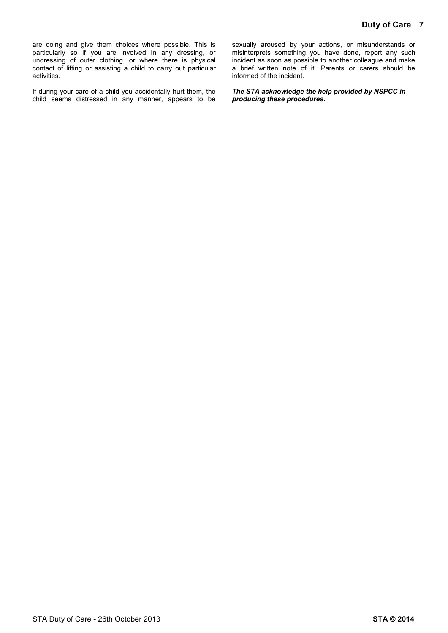are doing and give them choices where possible. This is particularly so if you are involved in any dressing, or undressing of outer clothing, or where there is physical contact of lifting or assisting a child to carry out particular activities.

If during your care of a child you accidentally hurt them, the child seems distressed in any manner, appears to be sexually aroused by your actions, or misunderstands or misinterprets something you have done, report any such incident as soon as possible to another colleague and make a brief written note of it. Parents or carers should be informed of the incident.

*The STA acknowledge the help provided by NSPCC in producing these procedures.*